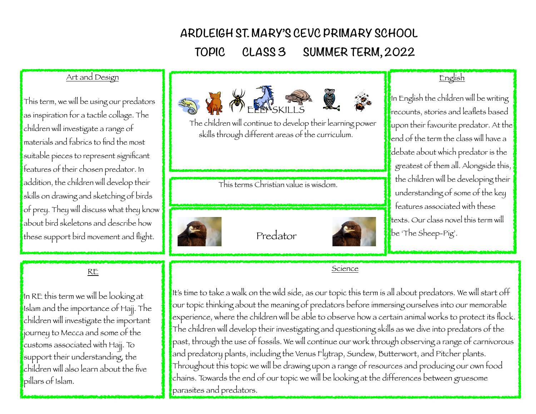# **ARDLEIGH ST. MARY'S CEVC PRIMARY SCHOOL**

 **TOPIC CLASS 3 SUMMER TERM, 2022**

## Art and Design

This term, we will be using our predators as inspiration for a tactile collage. The children will investigate a range of materials and fabrics to find the most suitable pieces to represent significant features of their chosen predator. In addition, the children will develop their skills on drawing and sketching of birds of prey. They will discuss what they know about bird skeletons and describe how these support bird movement and flight.

#### RE

In RE this term we will be looking at Islam and the importance of Hajj. The children will investigate the important journey to Mecca and some of the customs associated with Hajj. To support their understanding, the children will also learn about the five pillars of Islam.



 The children will continue to develop their learning power skills through different areas of the curriculum.

This terms Christian value is wisdom.



Predator



## English

In English the children will be writing recounts, stories and leaflets based  $\mathbf k$ upon their favourite predator. At the $\vert$ fend of the term the class will have a debate about which predator is the greatest of them all. Alongside this, the children will be developing their understanding of some of the key features associated with these texts. Our class novel this term will be 'The Sheep-Pig'.

Science

It's time to take a walk on the wild side, as our topic this term is all about predators. We will start off our topic thinking about the meaning of predators before immersing ourselves into our memorable experience, where the children will be able to observe how a certain animal works to protect its flock. The children will develop their investigating and questioning skills as we dive into predators of the past, through the use of fossils. We will continue our work through observing a range of carnivorous and predatory plants, including the Venus Flytrap, Sundew, Butterwort, and Pitcher plants. Throughout this topic we will be drawing upon a range of resources and producing our own food chains. Towards the end of our topic we will be looking at the differences between gruesome parasites and predators.